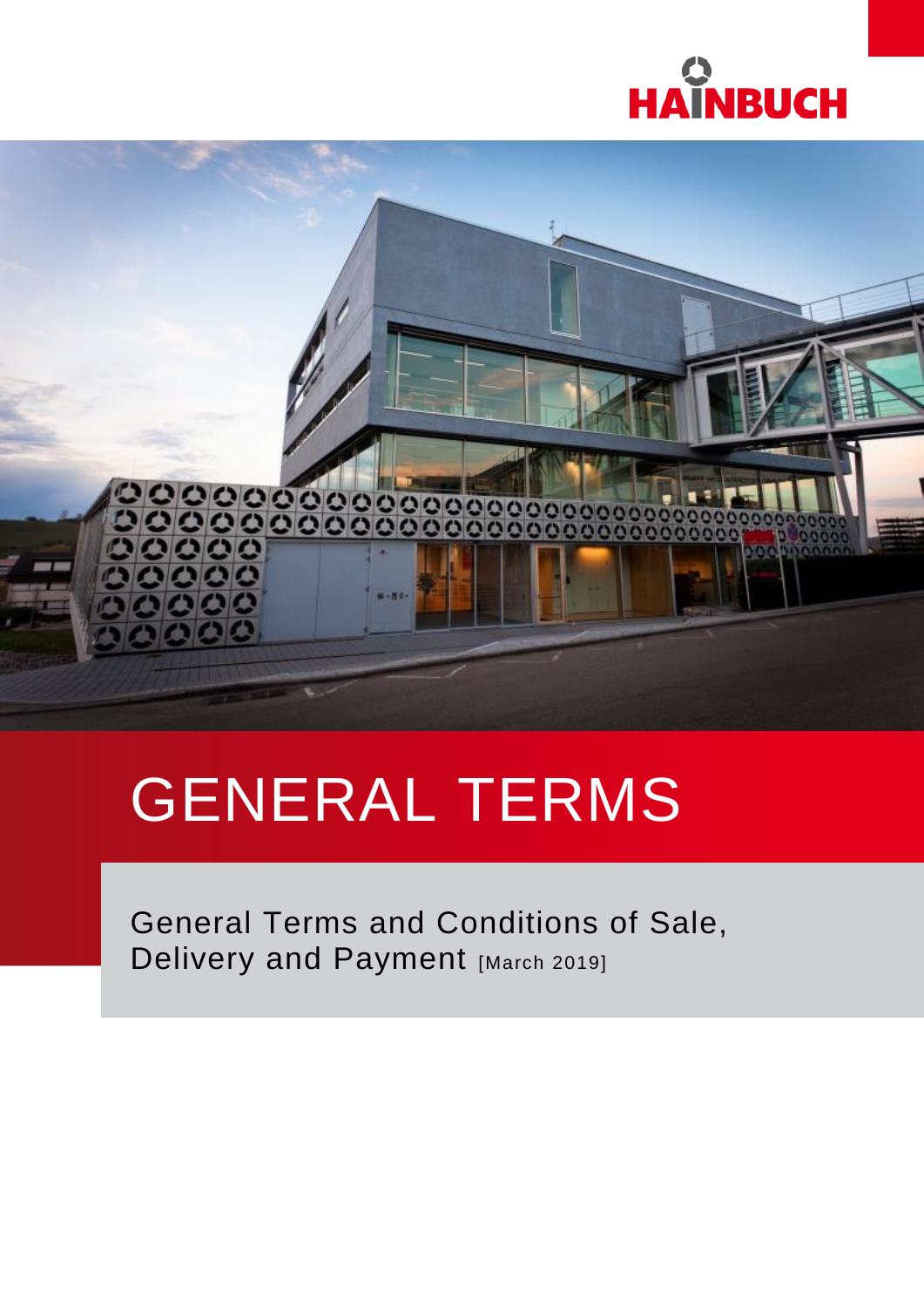



# GENERAL TERMS

General Terms and Conditions of Sale, Delivery and Payment [March 2019]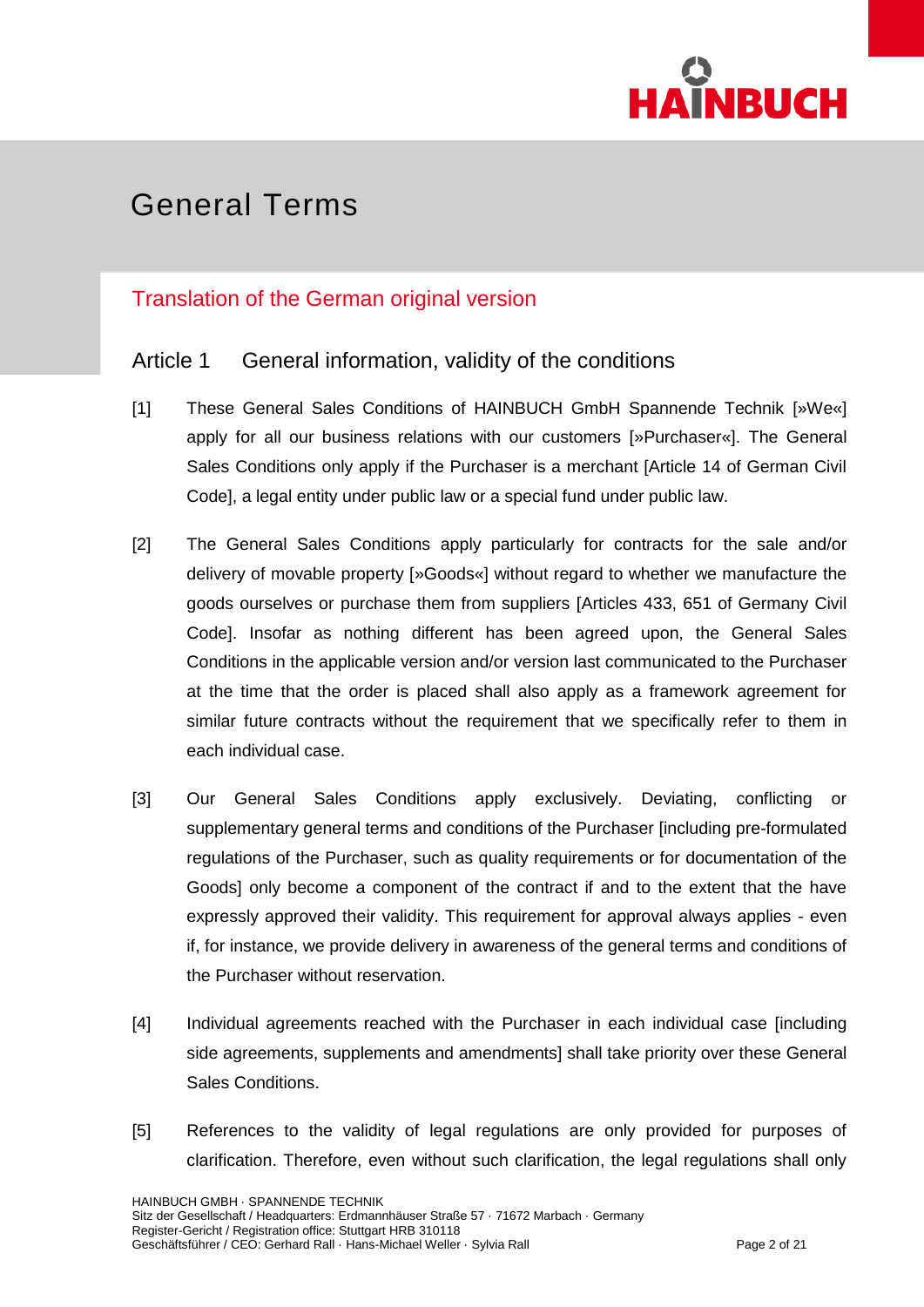

### Translation of the German original version

### Article 1 General information, validity of the conditions

- [1] These General Sales Conditions of HAINBUCH GmbH Spannende Technik [»We«] apply for all our business relations with our customers [»Purchaser«]. The General Sales Conditions only apply if the Purchaser is a merchant [Article 14 of German Civil Code], a legal entity under public law or a special fund under public law.
- [2] The General Sales Conditions apply particularly for contracts for the sale and/or delivery of movable property [»Goods«] without regard to whether we manufacture the goods ourselves or purchase them from suppliers [Articles 433, 651 of Germany Civil Code]. Insofar as nothing different has been agreed upon, the General Sales Conditions in the applicable version and/or version last communicated to the Purchaser at the time that the order is placed shall also apply as a framework agreement for similar future contracts without the requirement that we specifically refer to them in each individual case.
- [3] Our General Sales Conditions apply exclusively. Deviating, conflicting or supplementary general terms and conditions of the Purchaser [including pre-formulated regulations of the Purchaser, such as quality requirements or for documentation of the Goods] only become a component of the contract if and to the extent that the have expressly approved their validity. This requirement for approval always applies - even if, for instance, we provide delivery in awareness of the general terms and conditions of the Purchaser without reservation.
- [4] Individual agreements reached with the Purchaser in each individual case [including side agreements, supplements and amendments] shall take priority over these General Sales Conditions.
- [5] References to the validity of legal regulations are only provided for purposes of clarification. Therefore, even without such clarification, the legal regulations shall only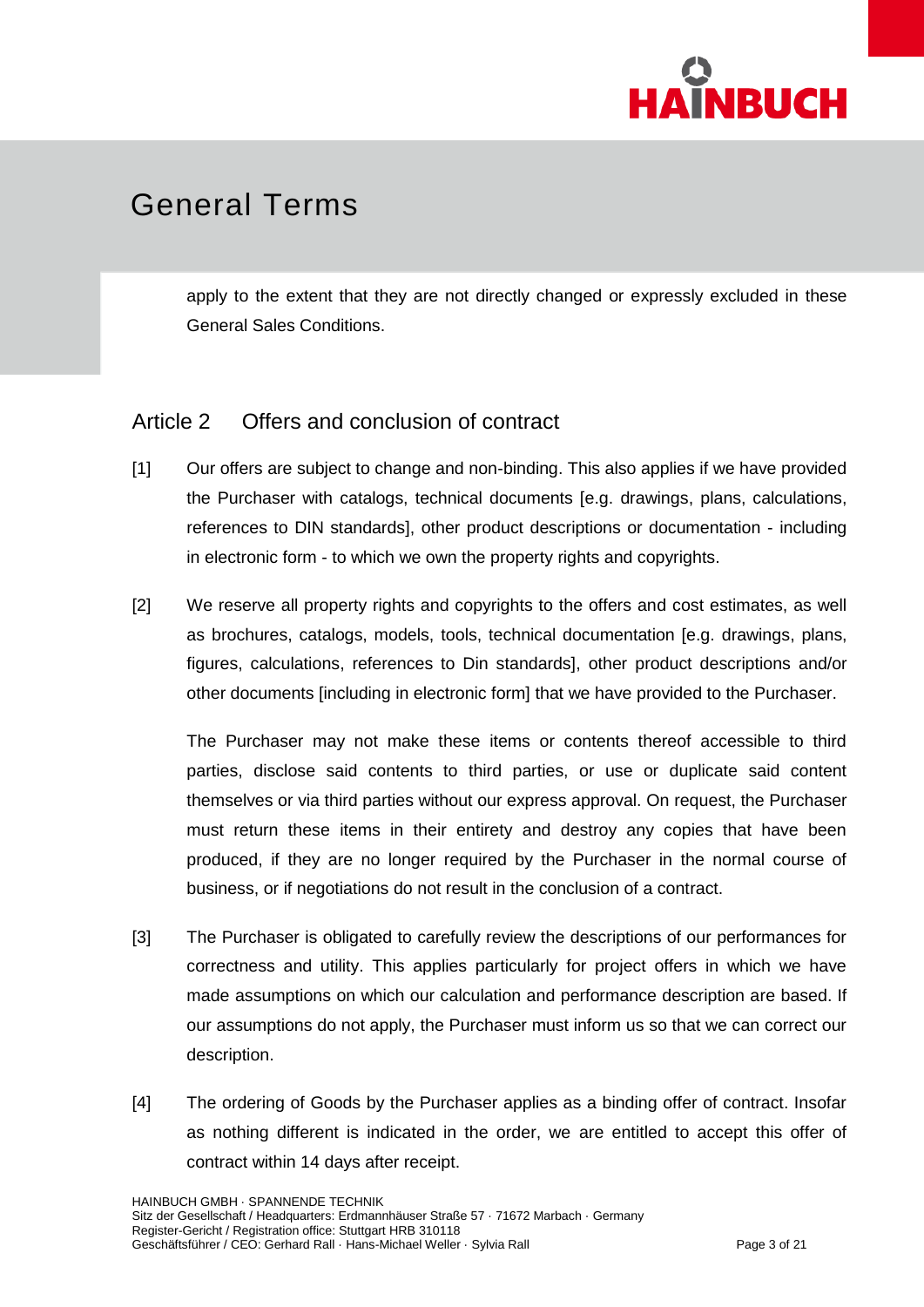

apply to the extent that they are not directly changed or expressly excluded in these General Sales Conditions.

### Article 2 Offers and conclusion of contract

- [1] Our offers are subject to change and non-binding. This also applies if we have provided the Purchaser with catalogs, technical documents [e.g. drawings, plans, calculations, references to DIN standards], other product descriptions or documentation - including in electronic form - to which we own the property rights and copyrights.
- [2] We reserve all property rights and copyrights to the offers and cost estimates, as well as brochures, catalogs, models, tools, technical documentation [e.g. drawings, plans, figures, calculations, references to Din standards], other product descriptions and/or other documents [including in electronic form] that we have provided to the Purchaser.

The Purchaser may not make these items or contents thereof accessible to third parties, disclose said contents to third parties, or use or duplicate said content themselves or via third parties without our express approval. On request, the Purchaser must return these items in their entirety and destroy any copies that have been produced, if they are no longer required by the Purchaser in the normal course of business, or if negotiations do not result in the conclusion of a contract.

- [3] The Purchaser is obligated to carefully review the descriptions of our performances for correctness and utility. This applies particularly for project offers in which we have made assumptions on which our calculation and performance description are based. If our assumptions do not apply, the Purchaser must inform us so that we can correct our description.
- [4] The ordering of Goods by the Purchaser applies as a binding offer of contract. Insofar as nothing different is indicated in the order, we are entitled to accept this offer of contract within 14 days after receipt.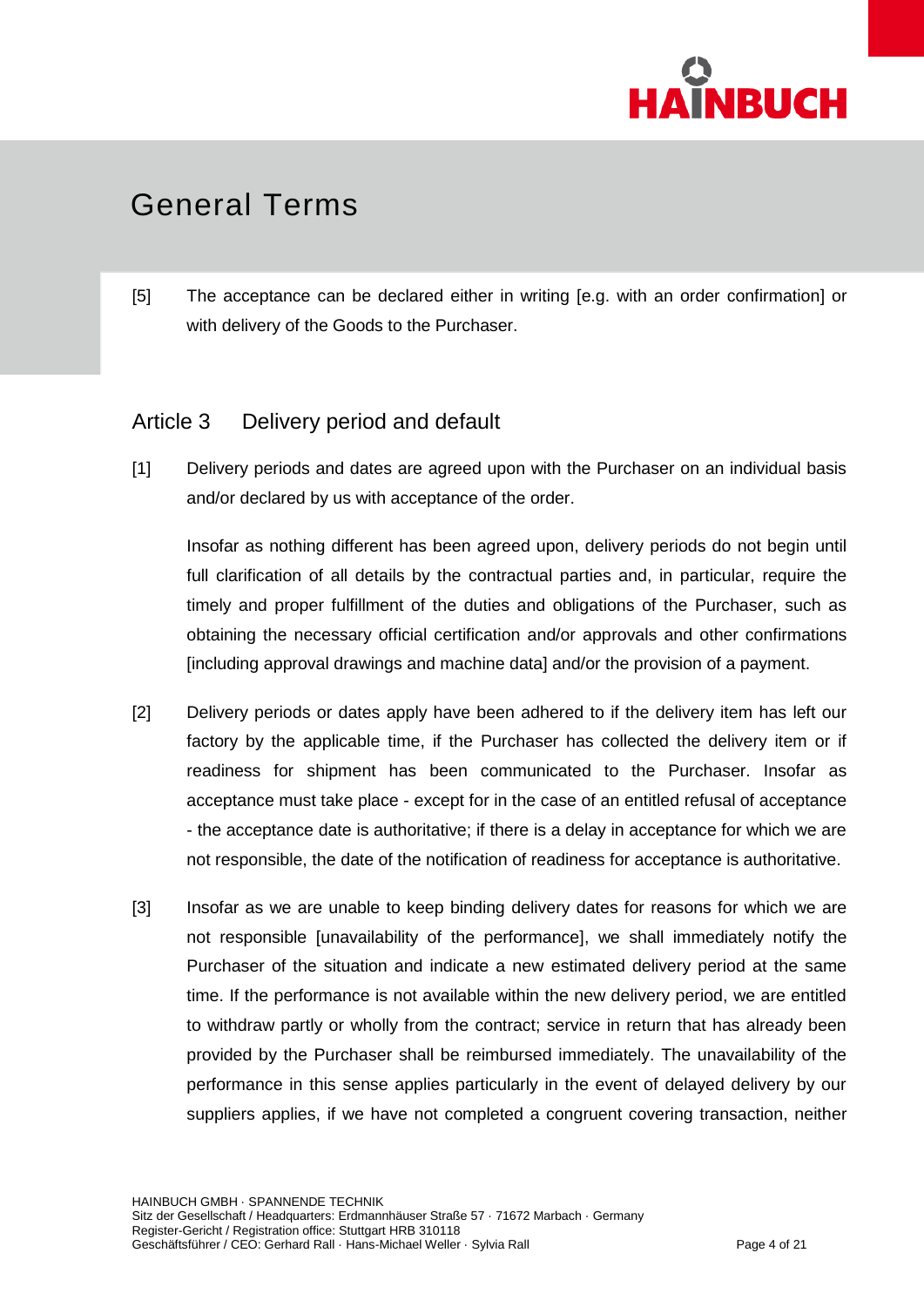

[5] The acceptance can be declared either in writing [e.g. with an order confirmation] or with delivery of the Goods to the Purchaser.

### Article 3 Delivery period and default

[1] Delivery periods and dates are agreed upon with the Purchaser on an individual basis and/or declared by us with acceptance of the order.

Insofar as nothing different has been agreed upon, delivery periods do not begin until full clarification of all details by the contractual parties and, in particular, require the timely and proper fulfillment of the duties and obligations of the Purchaser, such as obtaining the necessary official certification and/or approvals and other confirmations [including approval drawings and machine data] and/or the provision of a payment.

- [2] Delivery periods or dates apply have been adhered to if the delivery item has left our factory by the applicable time, if the Purchaser has collected the delivery item or if readiness for shipment has been communicated to the Purchaser. Insofar as acceptance must take place - except for in the case of an entitled refusal of acceptance - the acceptance date is authoritative; if there is a delay in acceptance for which we are not responsible, the date of the notification of readiness for acceptance is authoritative.
- [3] Insofar as we are unable to keep binding delivery dates for reasons for which we are not responsible [unavailability of the performance], we shall immediately notify the Purchaser of the situation and indicate a new estimated delivery period at the same time. If the performance is not available within the new delivery period, we are entitled to withdraw partly or wholly from the contract; service in return that has already been provided by the Purchaser shall be reimbursed immediately. The unavailability of the performance in this sense applies particularly in the event of delayed delivery by our suppliers applies, if we have not completed a congruent covering transaction, neither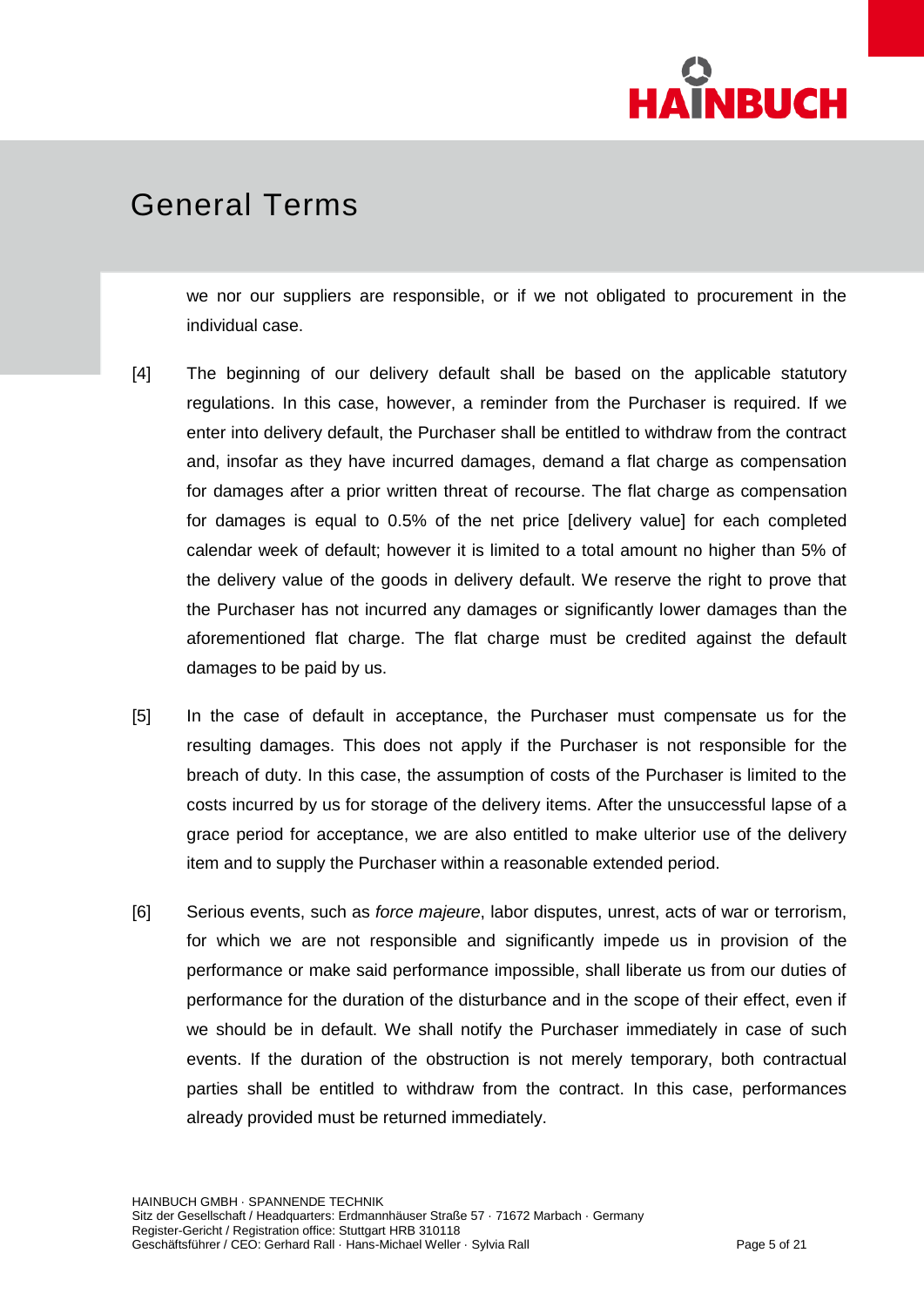

we nor our suppliers are responsible, or if we not obligated to procurement in the individual case.

- [4] The beginning of our delivery default shall be based on the applicable statutory regulations. In this case, however, a reminder from the Purchaser is required. If we enter into delivery default, the Purchaser shall be entitled to withdraw from the contract and, insofar as they have incurred damages, demand a flat charge as compensation for damages after a prior written threat of recourse. The flat charge as compensation for damages is equal to 0.5% of the net price [delivery value] for each completed calendar week of default; however it is limited to a total amount no higher than 5% of the delivery value of the goods in delivery default. We reserve the right to prove that the Purchaser has not incurred any damages or significantly lower damages than the aforementioned flat charge. The flat charge must be credited against the default damages to be paid by us.
- [5] In the case of default in acceptance, the Purchaser must compensate us for the resulting damages. This does not apply if the Purchaser is not responsible for the breach of duty. In this case, the assumption of costs of the Purchaser is limited to the costs incurred by us for storage of the delivery items. After the unsuccessful lapse of a grace period for acceptance, we are also entitled to make ulterior use of the delivery item and to supply the Purchaser within a reasonable extended period.
- [6] Serious events, such as *force majeure*, labor disputes, unrest, acts of war or terrorism, for which we are not responsible and significantly impede us in provision of the performance or make said performance impossible, shall liberate us from our duties of performance for the duration of the disturbance and in the scope of their effect, even if we should be in default. We shall notify the Purchaser immediately in case of such events. If the duration of the obstruction is not merely temporary, both contractual parties shall be entitled to withdraw from the contract. In this case, performances already provided must be returned immediately.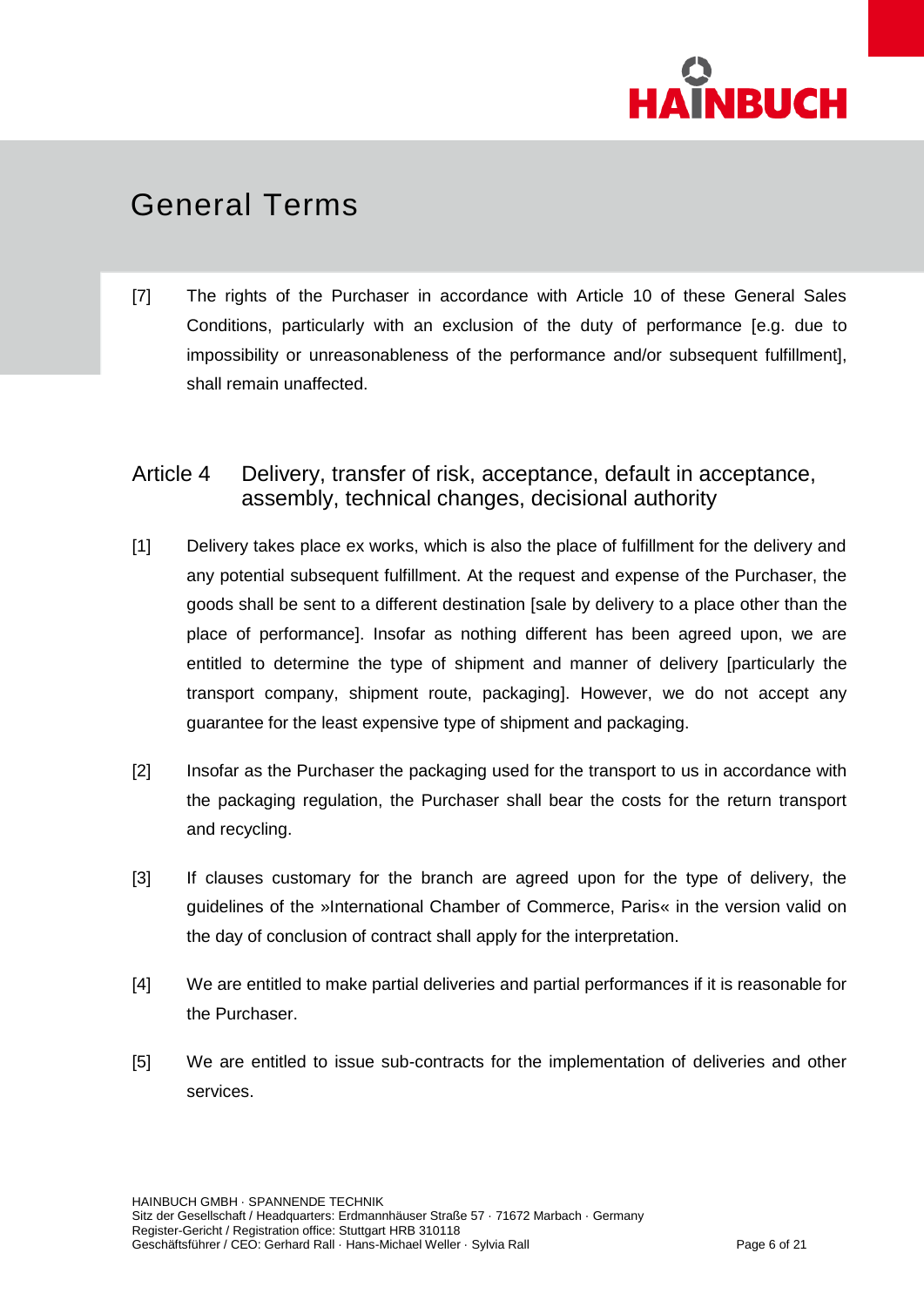

[7] The rights of the Purchaser in accordance with Article 10 of these General Sales Conditions, particularly with an exclusion of the duty of performance [e.g. due to impossibility or unreasonableness of the performance and/or subsequent fulfillment], shall remain unaffected.

### Article 4 Delivery, transfer of risk, acceptance, default in acceptance, assembly, technical changes, decisional authority

- [1] Delivery takes place ex works, which is also the place of fulfillment for the delivery and any potential subsequent fulfillment. At the request and expense of the Purchaser, the goods shall be sent to a different destination [sale by delivery to a place other than the place of performance]. Insofar as nothing different has been agreed upon, we are entitled to determine the type of shipment and manner of delivery [particularly the transport company, shipment route, packaging]. However, we do not accept any guarantee for the least expensive type of shipment and packaging.
- [2] Insofar as the Purchaser the packaging used for the transport to us in accordance with the packaging regulation, the Purchaser shall bear the costs for the return transport and recycling.
- [3] If clauses customary for the branch are agreed upon for the type of delivery, the guidelines of the »International Chamber of Commerce, Paris« in the version valid on the day of conclusion of contract shall apply for the interpretation.
- [4] We are entitled to make partial deliveries and partial performances if it is reasonable for the Purchaser.
- [5] We are entitled to issue sub-contracts for the implementation of deliveries and other services.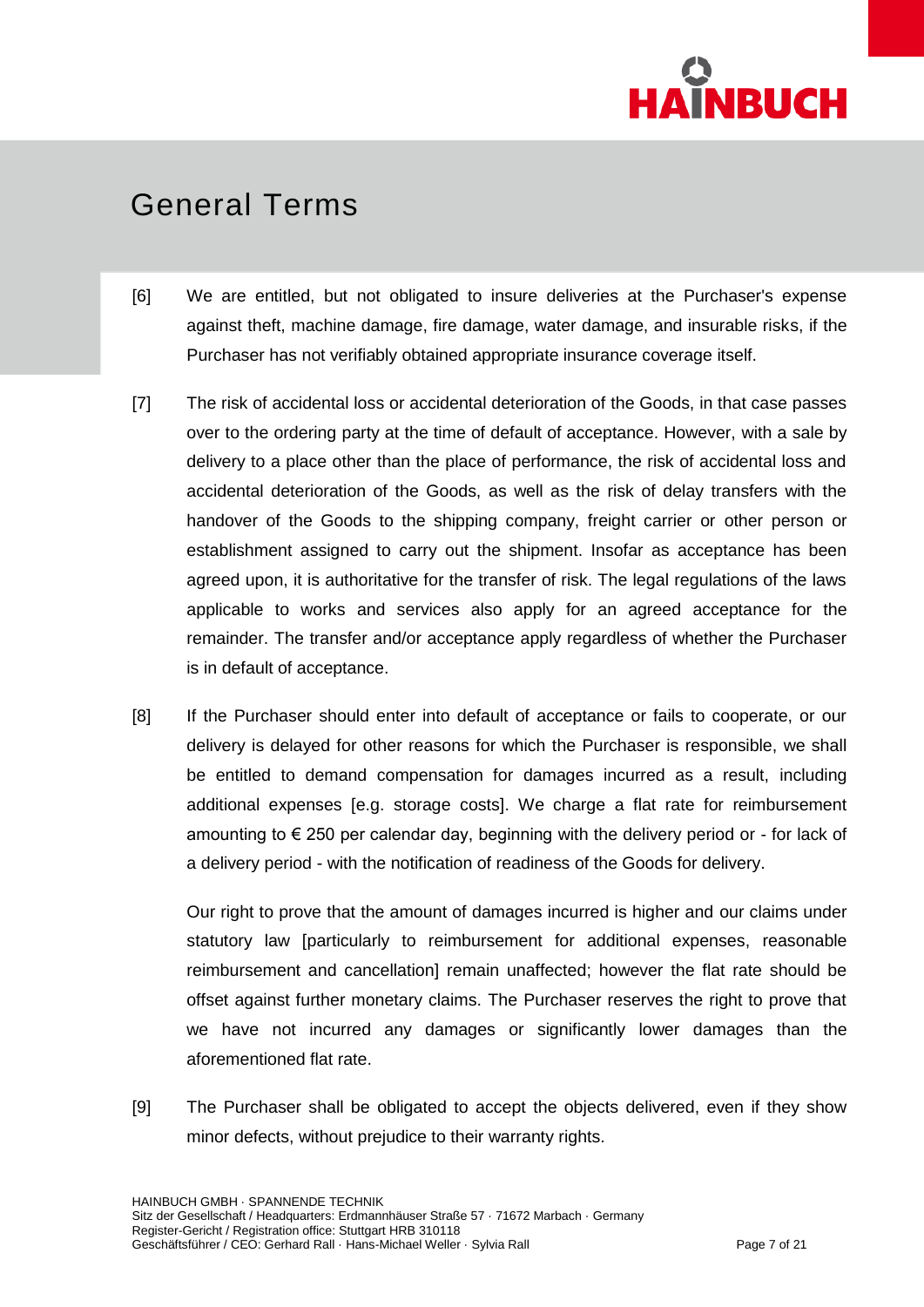

- [6] We are entitled, but not obligated to insure deliveries at the Purchaser's expense against theft, machine damage, fire damage, water damage, and insurable risks, if the Purchaser has not verifiably obtained appropriate insurance coverage itself.
- [7] The risk of accidental loss or accidental deterioration of the Goods, in that case passes over to the ordering party at the time of default of acceptance. However, with a sale by delivery to a place other than the place of performance, the risk of accidental loss and accidental deterioration of the Goods, as well as the risk of delay transfers with the handover of the Goods to the shipping company, freight carrier or other person or establishment assigned to carry out the shipment. Insofar as acceptance has been agreed upon, it is authoritative for the transfer of risk. The legal regulations of the laws applicable to works and services also apply for an agreed acceptance for the remainder. The transfer and/or acceptance apply regardless of whether the Purchaser is in default of acceptance.
- [8] If the Purchaser should enter into default of acceptance or fails to cooperate, or our delivery is delayed for other reasons for which the Purchaser is responsible, we shall be entitled to demand compensation for damages incurred as a result, including additional expenses [e.g. storage costs]. We charge a flat rate for reimbursement amounting to  $\epsilon$  250 per calendar day, beginning with the delivery period or - for lack of a delivery period - with the notification of readiness of the Goods for delivery.

Our right to prove that the amount of damages incurred is higher and our claims under statutory law [particularly to reimbursement for additional expenses, reasonable reimbursement and cancellation] remain unaffected; however the flat rate should be offset against further monetary claims. The Purchaser reserves the right to prove that we have not incurred any damages or significantly lower damages than the aforementioned flat rate.

[9] The Purchaser shall be obligated to accept the objects delivered, even if they show minor defects, without prejudice to their warranty rights.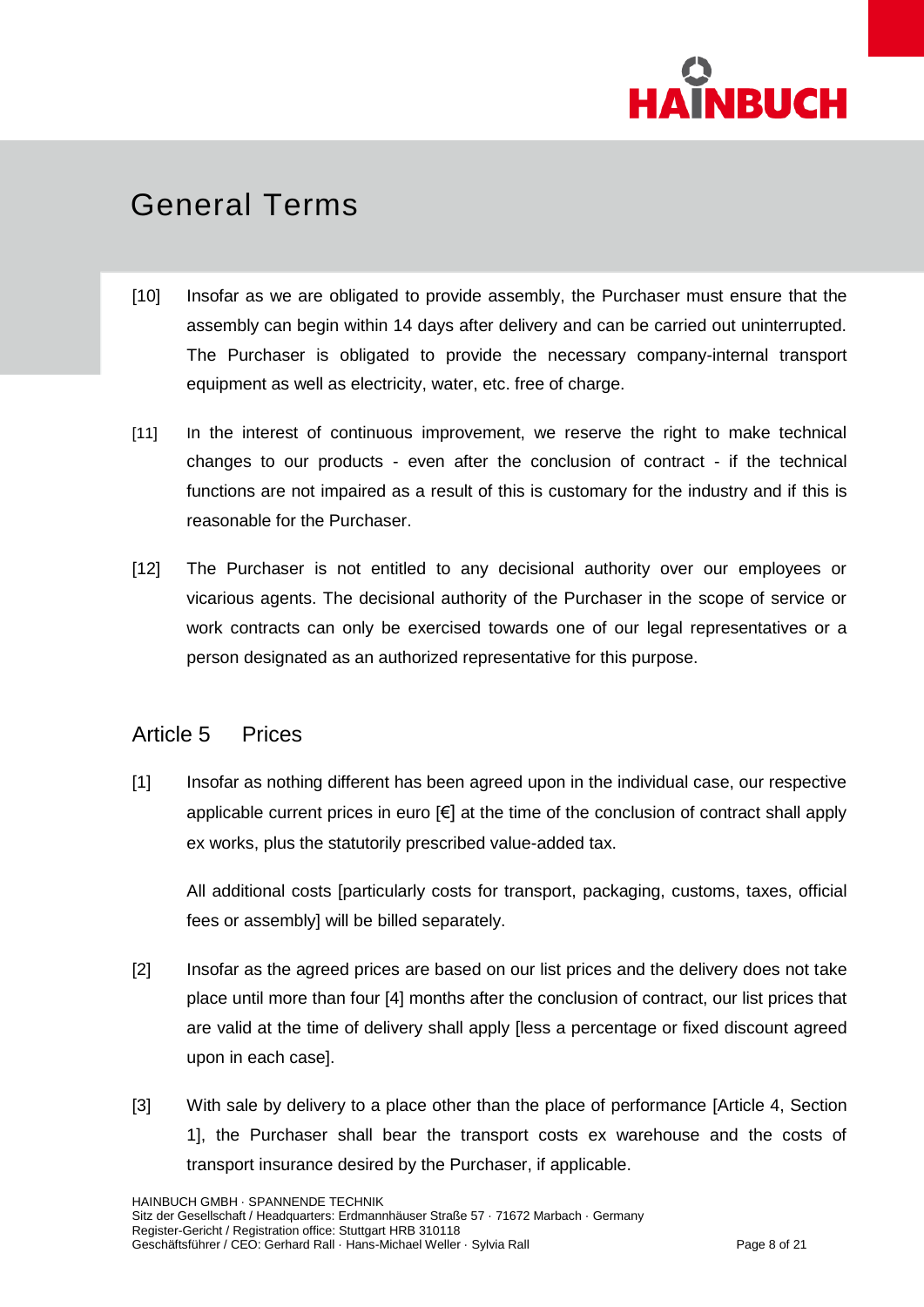

- [10] Insofar as we are obligated to provide assembly, the Purchaser must ensure that the assembly can begin within 14 days after delivery and can be carried out uninterrupted. The Purchaser is obligated to provide the necessary company-internal transport equipment as well as electricity, water, etc. free of charge.
- [11] In the interest of continuous improvement, we reserve the right to make technical changes to our products - even after the conclusion of contract - if the technical functions are not impaired as a result of this is customary for the industry and if this is reasonable for the Purchaser.
- [12] The Purchaser is not entitled to any decisional authority over our employees or vicarious agents. The decisional authority of the Purchaser in the scope of service or work contracts can only be exercised towards one of our legal representatives or a person designated as an authorized representative for this purpose.

### Article 5 Prices

[1] Insofar as nothing different has been agreed upon in the individual case, our respective applicable current prices in euro [€] at the time of the conclusion of contract shall apply ex works, plus the statutorily prescribed value-added tax.

All additional costs [particularly costs for transport, packaging, customs, taxes, official fees or assembly] will be billed separately.

- [2] Insofar as the agreed prices are based on our list prices and the delivery does not take place until more than four [4] months after the conclusion of contract, our list prices that are valid at the time of delivery shall apply [less a percentage or fixed discount agreed upon in each case].
- [3] With sale by delivery to a place other than the place of performance [Article 4, Section 1], the Purchaser shall bear the transport costs ex warehouse and the costs of transport insurance desired by the Purchaser, if applicable.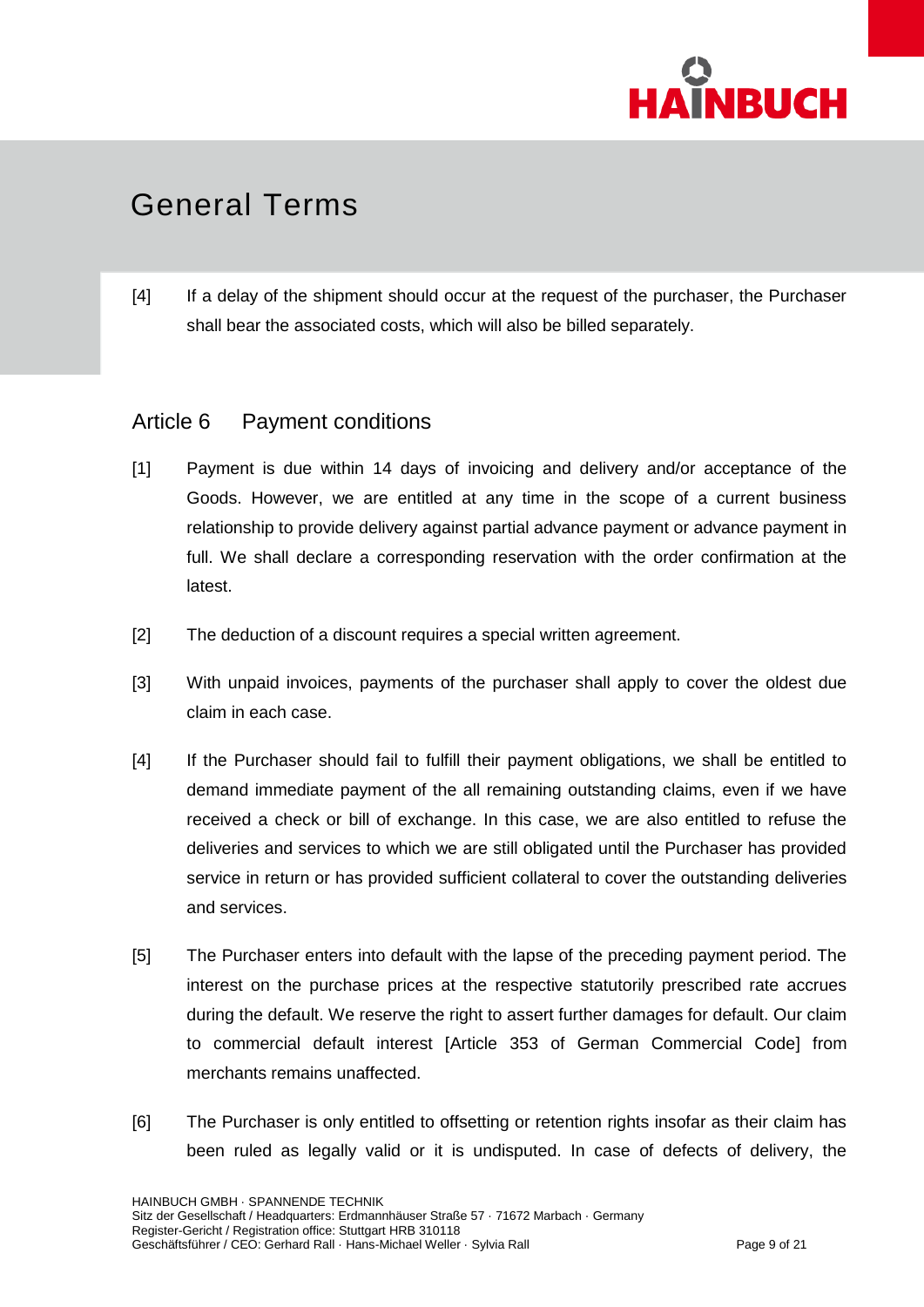

[4] If a delay of the shipment should occur at the request of the purchaser, the Purchaser shall bear the associated costs, which will also be billed separately.

### Article 6 Payment conditions

- [1] Payment is due within 14 days of invoicing and delivery and/or acceptance of the Goods. However, we are entitled at any time in the scope of a current business relationship to provide delivery against partial advance payment or advance payment in full. We shall declare a corresponding reservation with the order confirmation at the latest.
- [2] The deduction of a discount requires a special written agreement.
- [3] With unpaid invoices, payments of the purchaser shall apply to cover the oldest due claim in each case.
- [4] If the Purchaser should fail to fulfill their payment obligations, we shall be entitled to demand immediate payment of the all remaining outstanding claims, even if we have received a check or bill of exchange. In this case, we are also entitled to refuse the deliveries and services to which we are still obligated until the Purchaser has provided service in return or has provided sufficient collateral to cover the outstanding deliveries and services.
- [5] The Purchaser enters into default with the lapse of the preceding payment period. The interest on the purchase prices at the respective statutorily prescribed rate accrues during the default. We reserve the right to assert further damages for default. Our claim to commercial default interest [Article 353 of German Commercial Code] from merchants remains unaffected.
- [6] The Purchaser is only entitled to offsetting or retention rights insofar as their claim has been ruled as legally valid or it is undisputed. In case of defects of delivery, the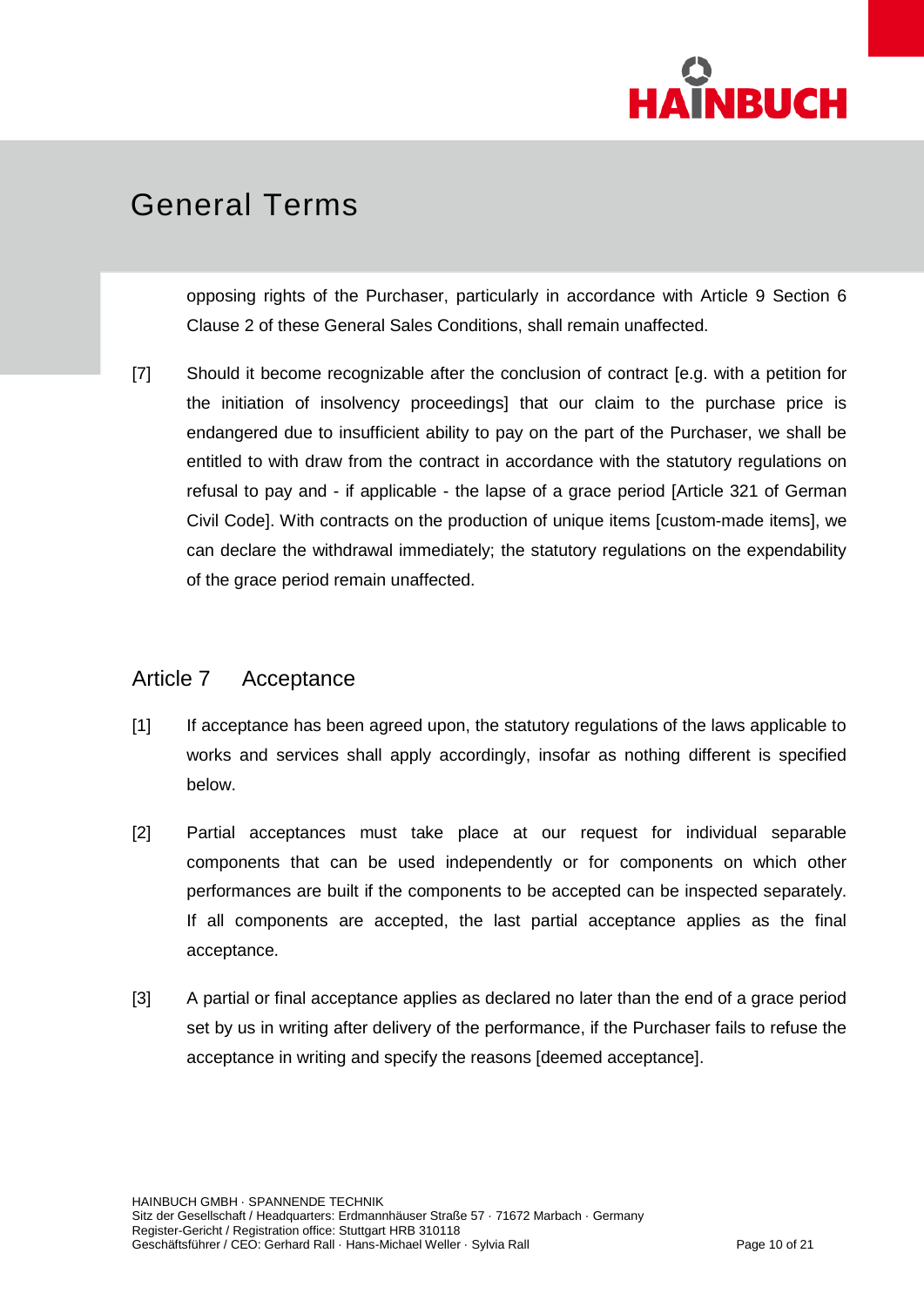

opposing rights of the Purchaser, particularly in accordance with Article 9 Section 6 Clause 2 of these General Sales Conditions, shall remain unaffected.

[7] Should it become recognizable after the conclusion of contract [e.g. with a petition for the initiation of insolvency proceedings] that our claim to the purchase price is endangered due to insufficient ability to pay on the part of the Purchaser, we shall be entitled to with draw from the contract in accordance with the statutory regulations on refusal to pay and - if applicable - the lapse of a grace period [Article 321 of German Civil Code]. With contracts on the production of unique items [custom-made items], we can declare the withdrawal immediately; the statutory regulations on the expendability of the grace period remain unaffected.

### Article 7 Acceptance

- [1] If acceptance has been agreed upon, the statutory regulations of the laws applicable to works and services shall apply accordingly, insofar as nothing different is specified below.
- [2] Partial acceptances must take place at our request for individual separable components that can be used independently or for components on which other performances are built if the components to be accepted can be inspected separately. If all components are accepted, the last partial acceptance applies as the final acceptance.
- [3] A partial or final acceptance applies as declared no later than the end of a grace period set by us in writing after delivery of the performance, if the Purchaser fails to refuse the acceptance in writing and specify the reasons [deemed acceptance].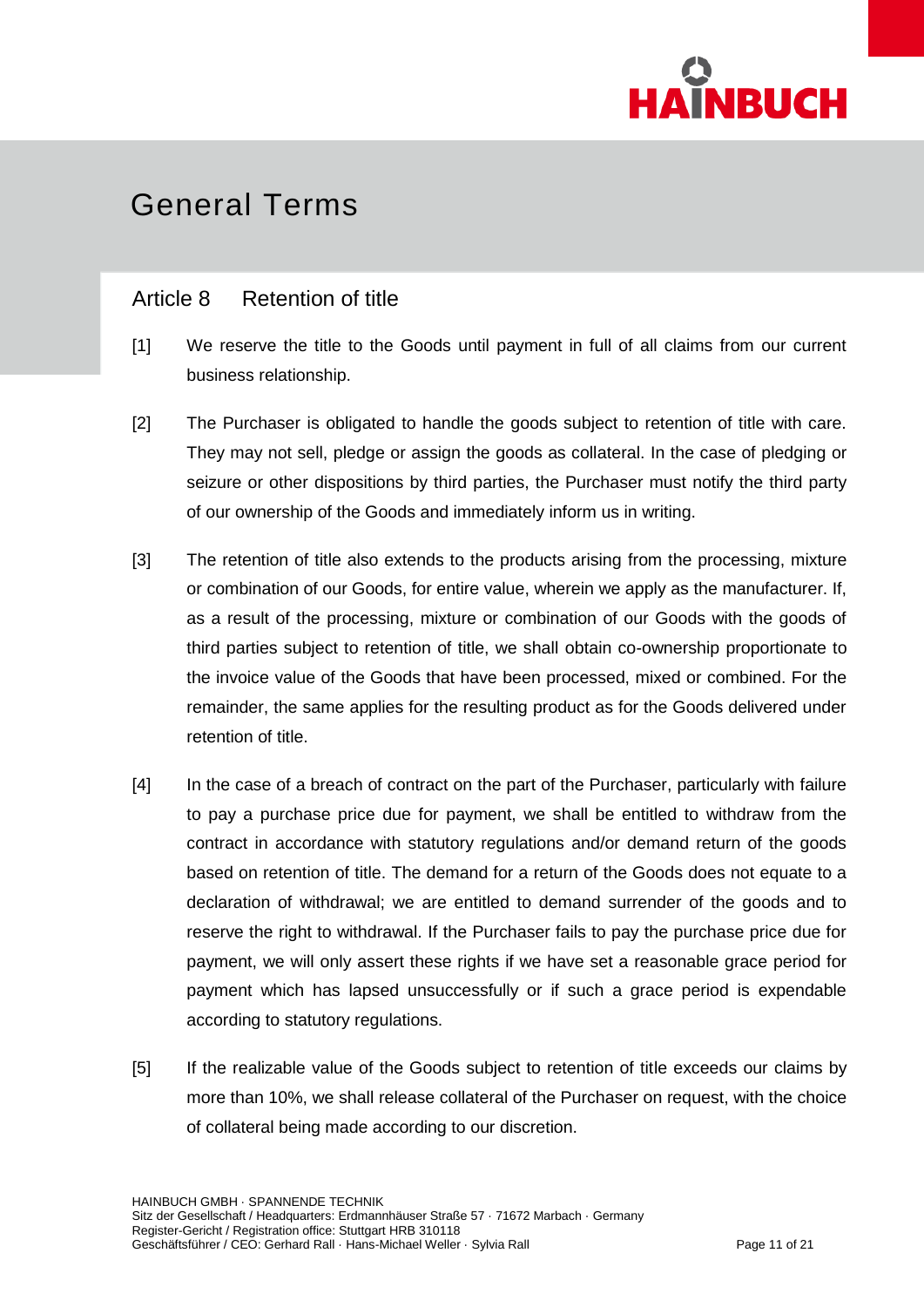

### Article 8 Retention of title

- [1] We reserve the title to the Goods until payment in full of all claims from our current business relationship.
- [2] The Purchaser is obligated to handle the goods subject to retention of title with care. They may not sell, pledge or assign the goods as collateral. In the case of pledging or seizure or other dispositions by third parties, the Purchaser must notify the third party of our ownership of the Goods and immediately inform us in writing.
- [3] The retention of title also extends to the products arising from the processing, mixture or combination of our Goods, for entire value, wherein we apply as the manufacturer. If, as a result of the processing, mixture or combination of our Goods with the goods of third parties subject to retention of title, we shall obtain co-ownership proportionate to the invoice value of the Goods that have been processed, mixed or combined. For the remainder, the same applies for the resulting product as for the Goods delivered under retention of title.
- [4] In the case of a breach of contract on the part of the Purchaser, particularly with failure to pay a purchase price due for payment, we shall be entitled to withdraw from the contract in accordance with statutory regulations and/or demand return of the goods based on retention of title. The demand for a return of the Goods does not equate to a declaration of withdrawal; we are entitled to demand surrender of the goods and to reserve the right to withdrawal. If the Purchaser fails to pay the purchase price due for payment, we will only assert these rights if we have set a reasonable grace period for payment which has lapsed unsuccessfully or if such a grace period is expendable according to statutory regulations.
- [5] If the realizable value of the Goods subject to retention of title exceeds our claims by more than 10%, we shall release collateral of the Purchaser on request, with the choice of collateral being made according to our discretion.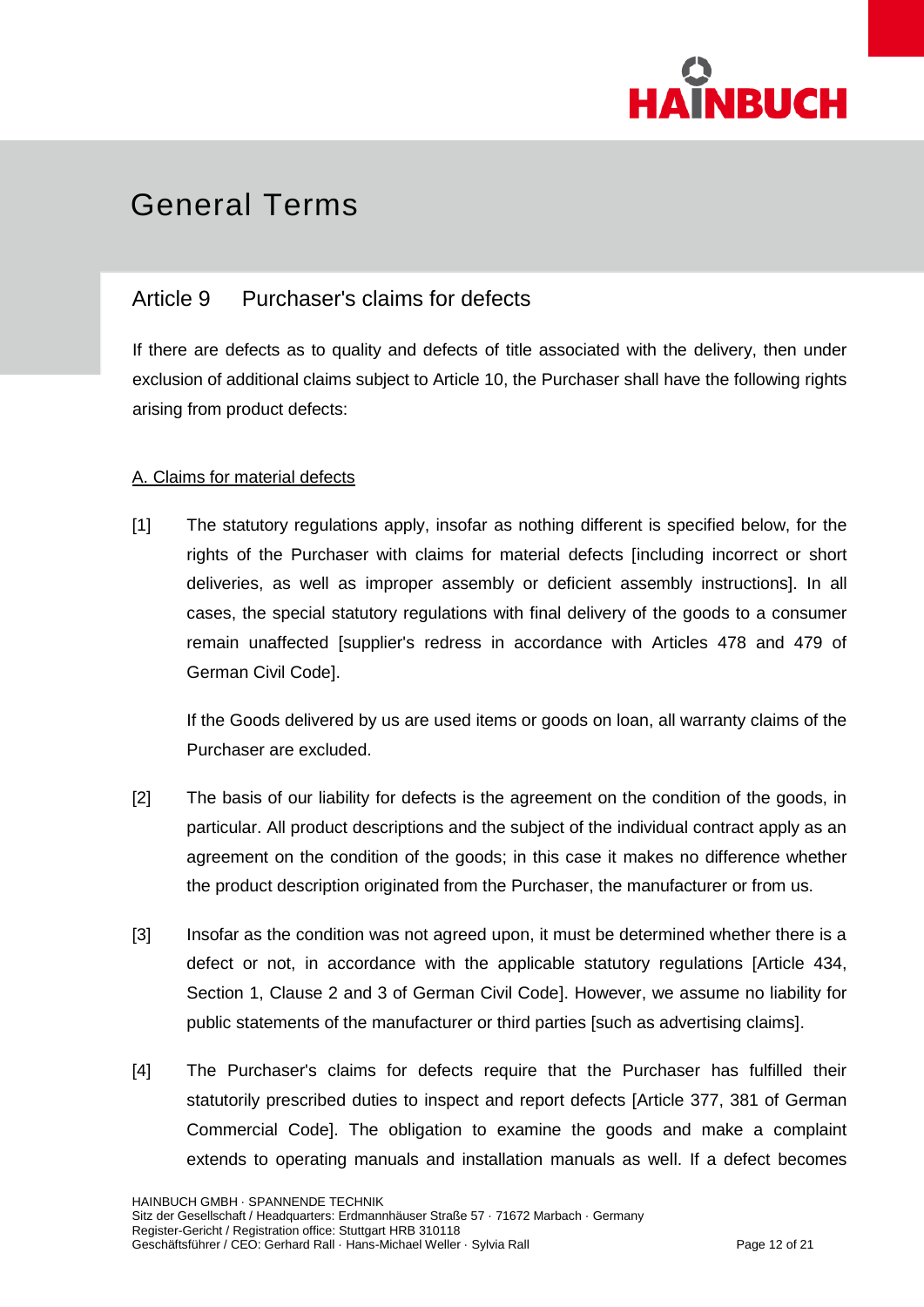

### Article 9 Purchaser's claims for defects

If there are defects as to quality and defects of title associated with the delivery, then under exclusion of additional claims subject to Article 10, the Purchaser shall have the following rights arising from product defects:

#### A. Claims for material defects

[1] The statutory regulations apply, insofar as nothing different is specified below, for the rights of the Purchaser with claims for material defects [including incorrect or short deliveries, as well as improper assembly or deficient assembly instructions]. In all cases, the special statutory regulations with final delivery of the goods to a consumer remain unaffected [supplier's redress in accordance with Articles 478 and 479 of German Civil Code].

If the Goods delivered by us are used items or goods on loan, all warranty claims of the Purchaser are excluded.

- [2] The basis of our liability for defects is the agreement on the condition of the goods, in particular. All product descriptions and the subject of the individual contract apply as an agreement on the condition of the goods; in this case it makes no difference whether the product description originated from the Purchaser, the manufacturer or from us.
- [3] Insofar as the condition was not agreed upon, it must be determined whether there is a defect or not, in accordance with the applicable statutory regulations [Article 434, Section 1, Clause 2 and 3 of German Civil Code]. However, we assume no liability for public statements of the manufacturer or third parties [such as advertising claims].
- [4] The Purchaser's claims for defects require that the Purchaser has fulfilled their statutorily prescribed duties to inspect and report defects [Article 377, 381 of German Commercial Code]. The obligation to examine the goods and make a complaint extends to operating manuals and installation manuals as well. If a defect becomes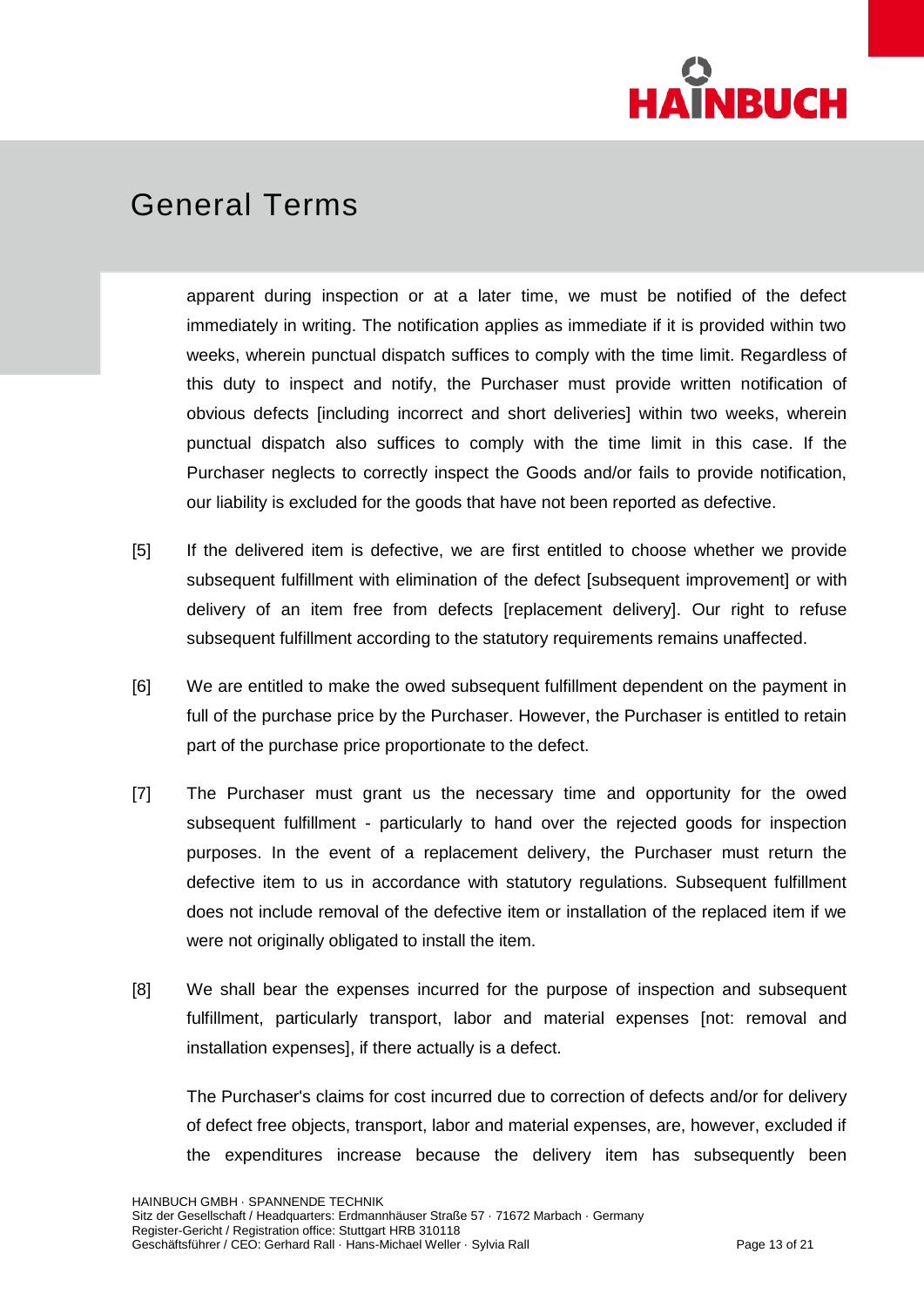

apparent during inspection or at a later time, we must be notified of the defect immediately in writing. The notification applies as immediate if it is provided within two weeks, wherein punctual dispatch suffices to comply with the time limit. Regardless of this duty to inspect and notify, the Purchaser must provide written notification of obvious defects [including incorrect and short deliveries] within two weeks, wherein punctual dispatch also suffices to comply with the time limit in this case. If the Purchaser neglects to correctly inspect the Goods and/or fails to provide notification, our liability is excluded for the goods that have not been reported as defective.

- [5] If the delivered item is defective, we are first entitled to choose whether we provide subsequent fulfillment with elimination of the defect [subsequent improvement] or with delivery of an item free from defects [replacement delivery]. Our right to refuse subsequent fulfillment according to the statutory requirements remains unaffected.
- [6] We are entitled to make the owed subsequent fulfillment dependent on the payment in full of the purchase price by the Purchaser. However, the Purchaser is entitled to retain part of the purchase price proportionate to the defect.
- [7] The Purchaser must grant us the necessary time and opportunity for the owed subsequent fulfillment - particularly to hand over the rejected goods for inspection purposes. In the event of a replacement delivery, the Purchaser must return the defective item to us in accordance with statutory regulations. Subsequent fulfillment does not include removal of the defective item or installation of the replaced item if we were not originally obligated to install the item.
- [8] We shall bear the expenses incurred for the purpose of inspection and subsequent fulfillment, particularly transport, labor and material expenses [not: removal and installation expenses], if there actually is a defect.

The Purchaser's claims for cost incurred due to correction of defects and/or for delivery of defect free objects, transport, labor and material expenses, are, however, excluded if the expenditures increase because the delivery item has subsequently been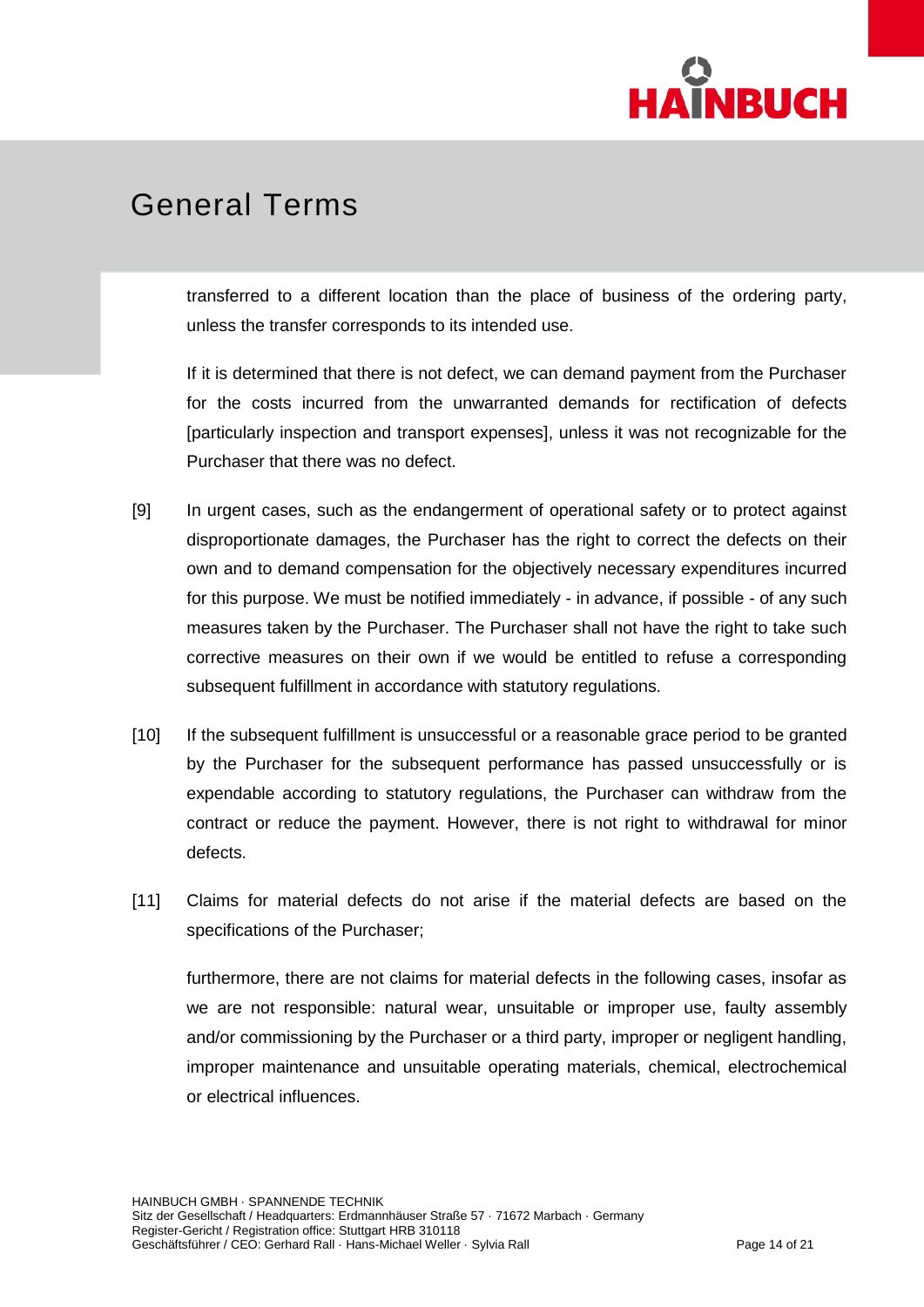

transferred to a different location than the place of business of the ordering party, unless the transfer corresponds to its intended use.

If it is determined that there is not defect, we can demand payment from the Purchaser for the costs incurred from the unwarranted demands for rectification of defects [particularly inspection and transport expenses], unless it was not recognizable for the Purchaser that there was no defect.

- [9] In urgent cases, such as the endangerment of operational safety or to protect against disproportionate damages, the Purchaser has the right to correct the defects on their own and to demand compensation for the objectively necessary expenditures incurred for this purpose. We must be notified immediately - in advance, if possible - of any such measures taken by the Purchaser. The Purchaser shall not have the right to take such corrective measures on their own if we would be entitled to refuse a corresponding subsequent fulfillment in accordance with statutory regulations.
- [10] If the subsequent fulfillment is unsuccessful or a reasonable grace period to be granted by the Purchaser for the subsequent performance has passed unsuccessfully or is expendable according to statutory regulations, the Purchaser can withdraw from the contract or reduce the payment. However, there is not right to withdrawal for minor defects.
- [11] Claims for material defects do not arise if the material defects are based on the specifications of the Purchaser;

furthermore, there are not claims for material defects in the following cases, insofar as we are not responsible: natural wear, unsuitable or improper use, faulty assembly and/or commissioning by the Purchaser or a third party, improper or negligent handling, improper maintenance and unsuitable operating materials, chemical, electrochemical or electrical influences.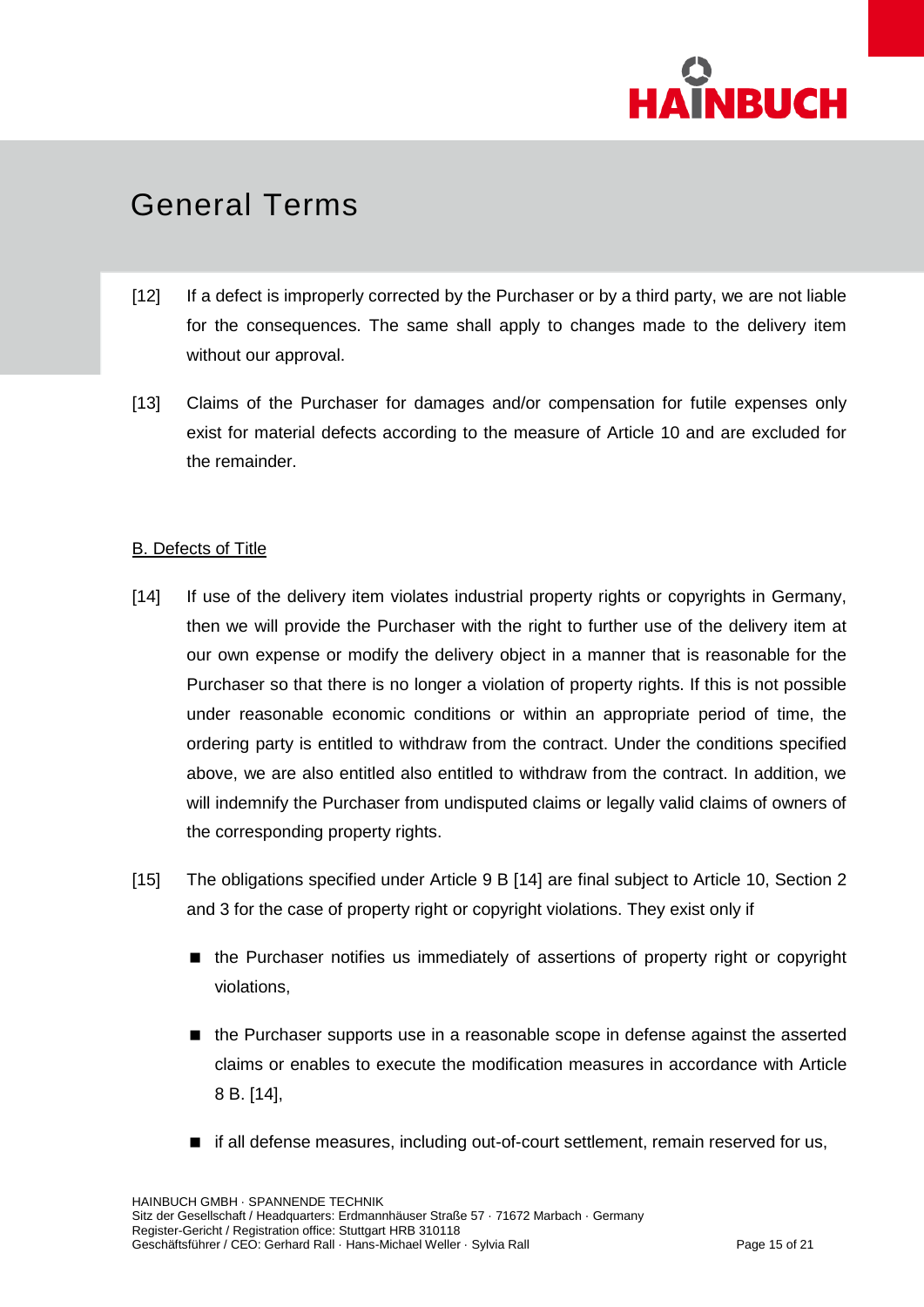

- [12] If a defect is improperly corrected by the Purchaser or by a third party, we are not liable for the consequences. The same shall apply to changes made to the delivery item without our approval.
- [13] Claims of the Purchaser for damages and/or compensation for futile expenses only exist for material defects according to the measure of Article 10 and are excluded for the remainder.

#### B. Defects of Title

- [14] If use of the delivery item violates industrial property rights or copyrights in Germany, then we will provide the Purchaser with the right to further use of the delivery item at our own expense or modify the delivery object in a manner that is reasonable for the Purchaser so that there is no longer a violation of property rights. If this is not possible under reasonable economic conditions or within an appropriate period of time, the ordering party is entitled to withdraw from the contract. Under the conditions specified above, we are also entitled also entitled to withdraw from the contract. In addition, we will indemnify the Purchaser from undisputed claims or legally valid claims of owners of the corresponding property rights.
- [15] The obligations specified under Article 9 B [14] are final subject to Article 10, Section 2 and 3 for the case of property right or copyright violations. They exist only if
	- the Purchaser notifies us immediately of assertions of property right or copyright violations,
	- the Purchaser supports use in a reasonable scope in defense against the asserted claims or enables to execute the modification measures in accordance with Article 8 B. [14],
	- $\blacksquare$  if all defense measures, including out-of-court settlement, remain reserved for us,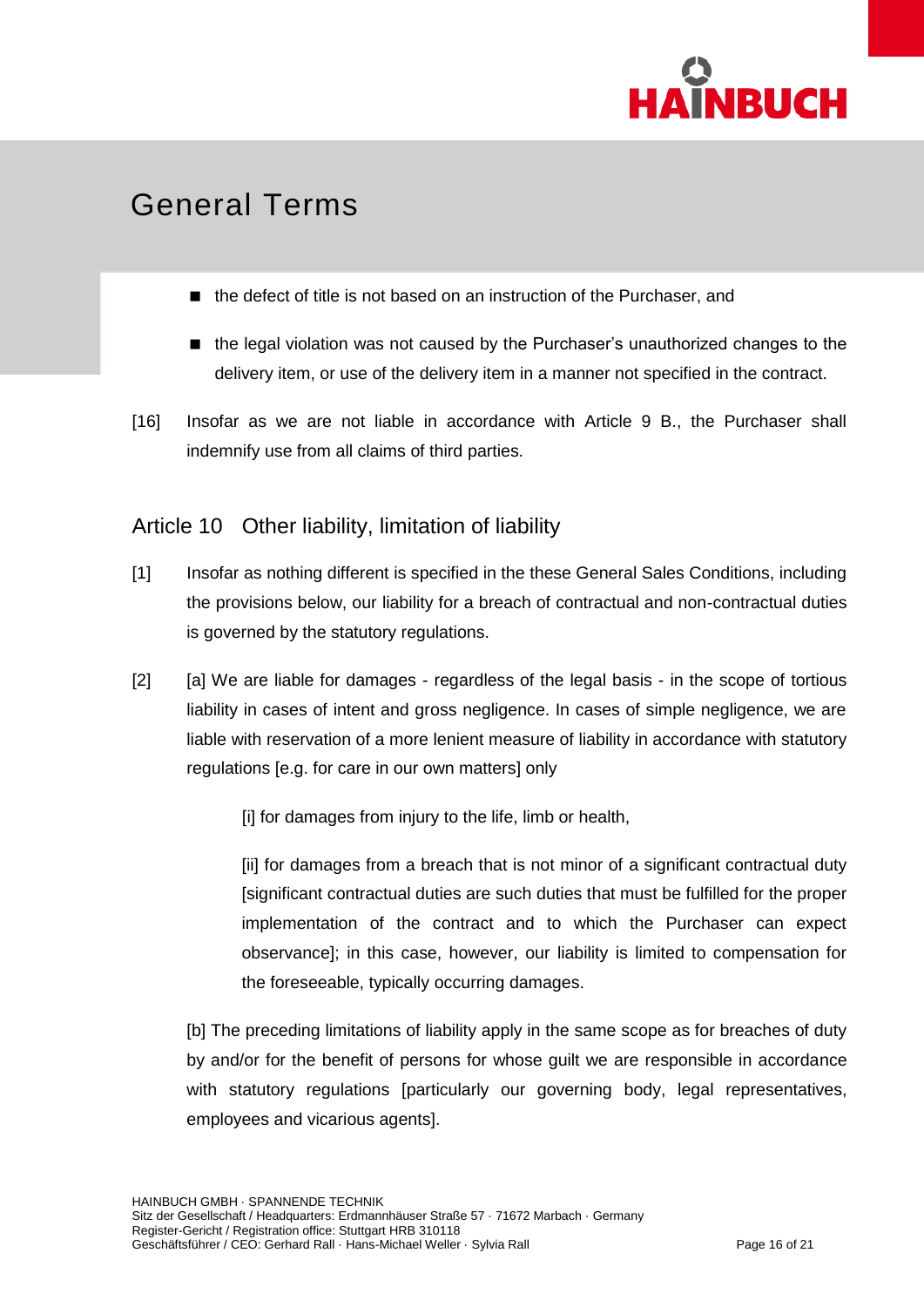

- the defect of title is not based on an instruction of the Purchaser, and
- the legal violation was not caused by the Purchaser's unauthorized changes to the delivery item, or use of the delivery item in a manner not specified in the contract.
- [16] Insofar as we are not liable in accordance with Article 9 B., the Purchaser shall indemnify use from all claims of third parties.

### Article 10 Other liability, limitation of liability

- [1] Insofar as nothing different is specified in the these General Sales Conditions, including the provisions below, our liability for a breach of contractual and non-contractual duties is governed by the statutory regulations.
- [2] [a] We are liable for damages regardless of the legal basis in the scope of tortious liability in cases of intent and gross negligence. In cases of simple negligence, we are liable with reservation of a more lenient measure of liability in accordance with statutory regulations [e.g. for care in our own matters] only

[i] for damages from injury to the life, limb or health,

[ii] for damages from a breach that is not minor of a significant contractual duty [significant contractual duties are such duties that must be fulfilled for the proper implementation of the contract and to which the Purchaser can expect observance]; in this case, however, our liability is limited to compensation for the foreseeable, typically occurring damages.

[b] The preceding limitations of liability apply in the same scope as for breaches of duty by and/or for the benefit of persons for whose guilt we are responsible in accordance with statutory regulations [particularly our governing body, legal representatives, employees and vicarious agents].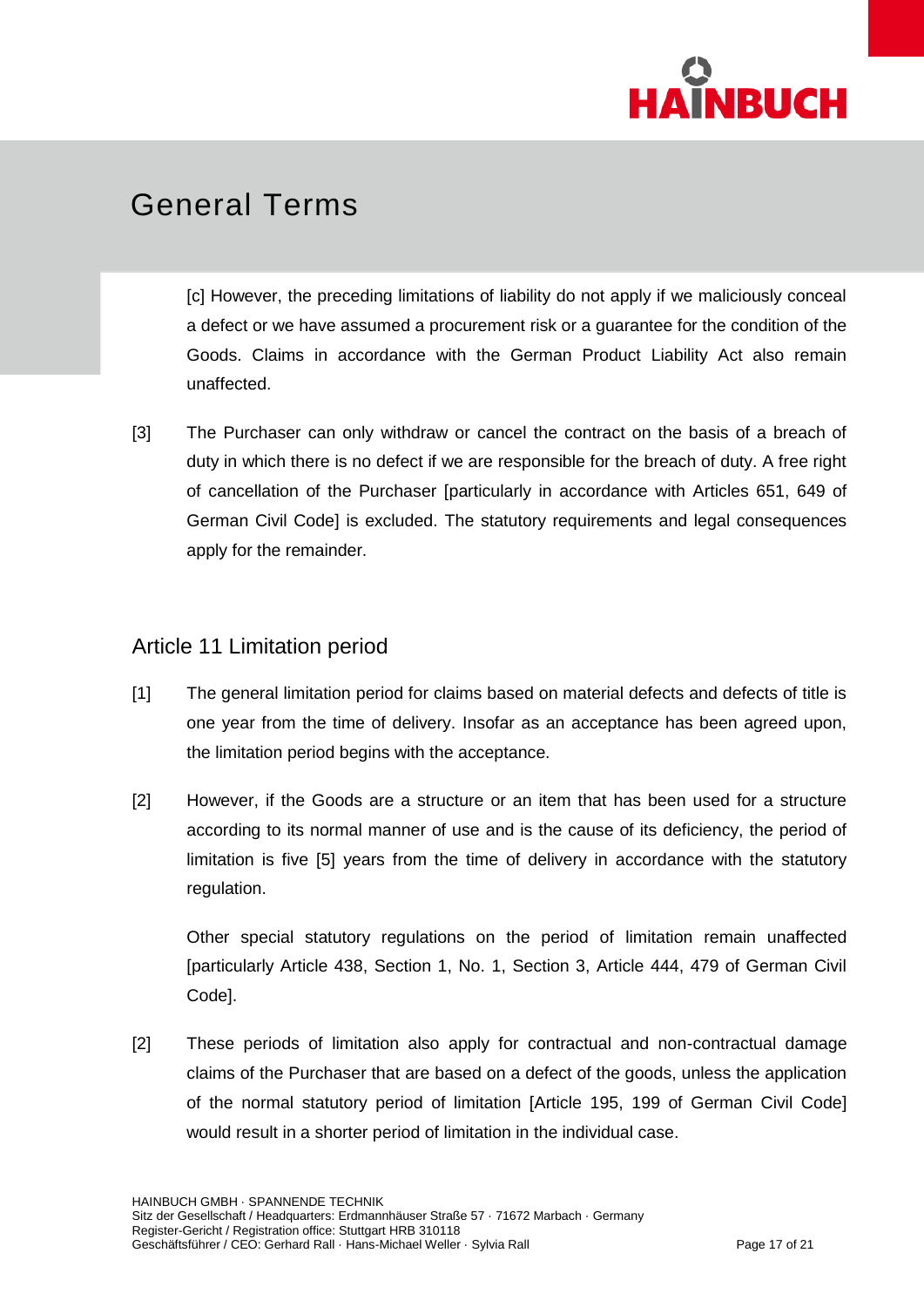

[c] However, the preceding limitations of liability do not apply if we maliciously conceal a defect or we have assumed a procurement risk or a guarantee for the condition of the Goods. Claims in accordance with the German Product Liability Act also remain unaffected.

[3] The Purchaser can only withdraw or cancel the contract on the basis of a breach of duty in which there is no defect if we are responsible for the breach of duty. A free right of cancellation of the Purchaser [particularly in accordance with Articles 651, 649 of German Civil Code] is excluded. The statutory requirements and legal consequences apply for the remainder.

### Article 11 Limitation period

- [1] The general limitation period for claims based on material defects and defects of title is one year from the time of delivery. Insofar as an acceptance has been agreed upon, the limitation period begins with the acceptance.
- [2] However, if the Goods are a structure or an item that has been used for a structure according to its normal manner of use and is the cause of its deficiency, the period of limitation is five [5] years from the time of delivery in accordance with the statutory regulation.

Other special statutory regulations on the period of limitation remain unaffected [particularly Article 438, Section 1, No. 1, Section 3, Article 444, 479 of German Civil Code].

[2] These periods of limitation also apply for contractual and non-contractual damage claims of the Purchaser that are based on a defect of the goods, unless the application of the normal statutory period of limitation [Article 195, 199 of German Civil Code] would result in a shorter period of limitation in the individual case.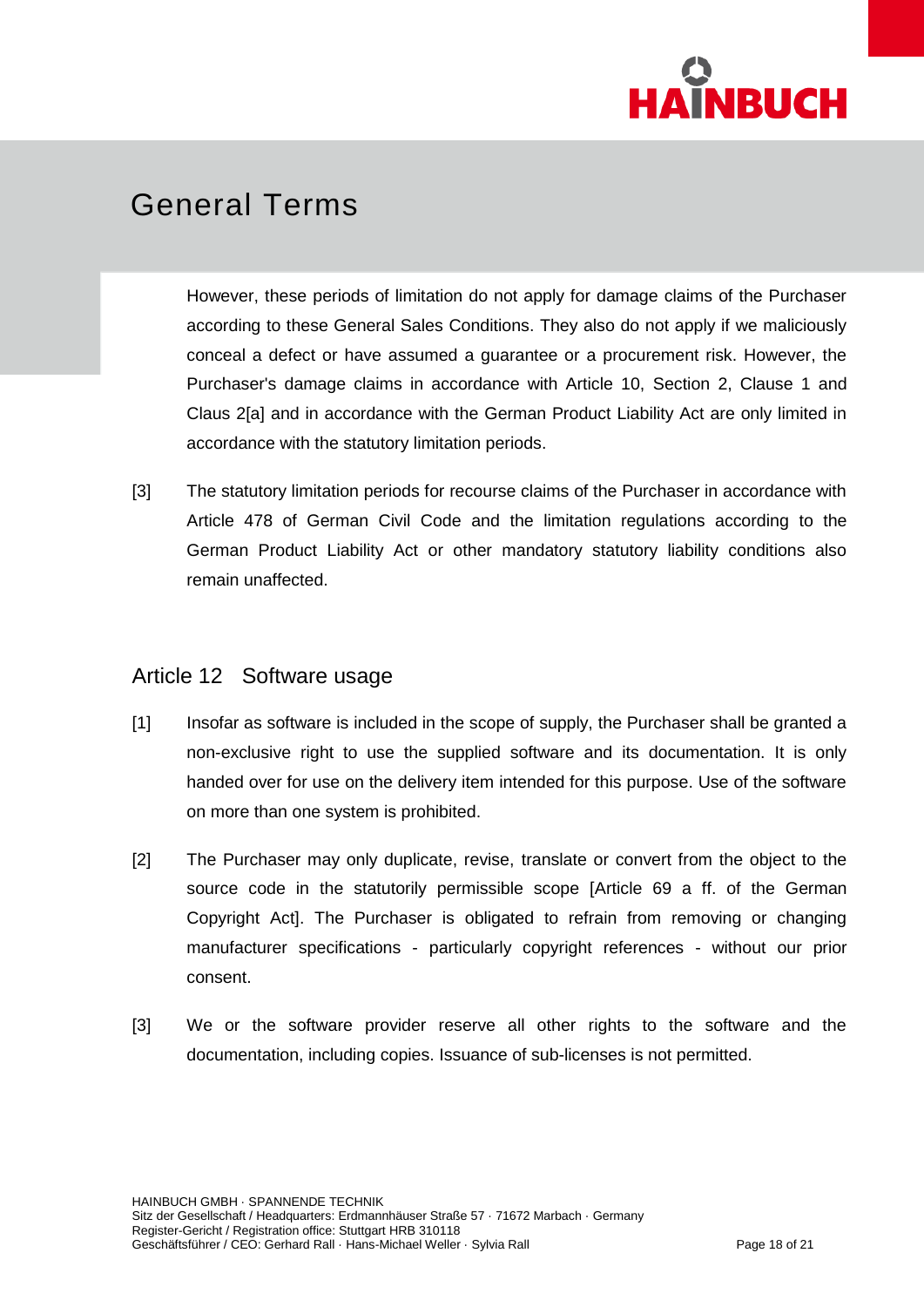

However, these periods of limitation do not apply for damage claims of the Purchaser according to these General Sales Conditions. They also do not apply if we maliciously conceal a defect or have assumed a guarantee or a procurement risk. However, the Purchaser's damage claims in accordance with Article 10, Section 2, Clause 1 and Claus 2[a] and in accordance with the German Product Liability Act are only limited in accordance with the statutory limitation periods.

[3] The statutory limitation periods for recourse claims of the Purchaser in accordance with Article 478 of German Civil Code and the limitation regulations according to the German Product Liability Act or other mandatory statutory liability conditions also remain unaffected.

### Article 12 Software usage

- [1] Insofar as software is included in the scope of supply, the Purchaser shall be granted a non-exclusive right to use the supplied software and its documentation. It is only handed over for use on the delivery item intended for this purpose. Use of the software on more than one system is prohibited.
- [2] The Purchaser may only duplicate, revise, translate or convert from the object to the source code in the statutorily permissible scope [Article 69 a ff. of the German Copyright Act]. The Purchaser is obligated to refrain from removing or changing manufacturer specifications - particularly copyright references - without our prior consent.
- [3] We or the software provider reserve all other rights to the software and the documentation, including copies. Issuance of sub-licenses is not permitted.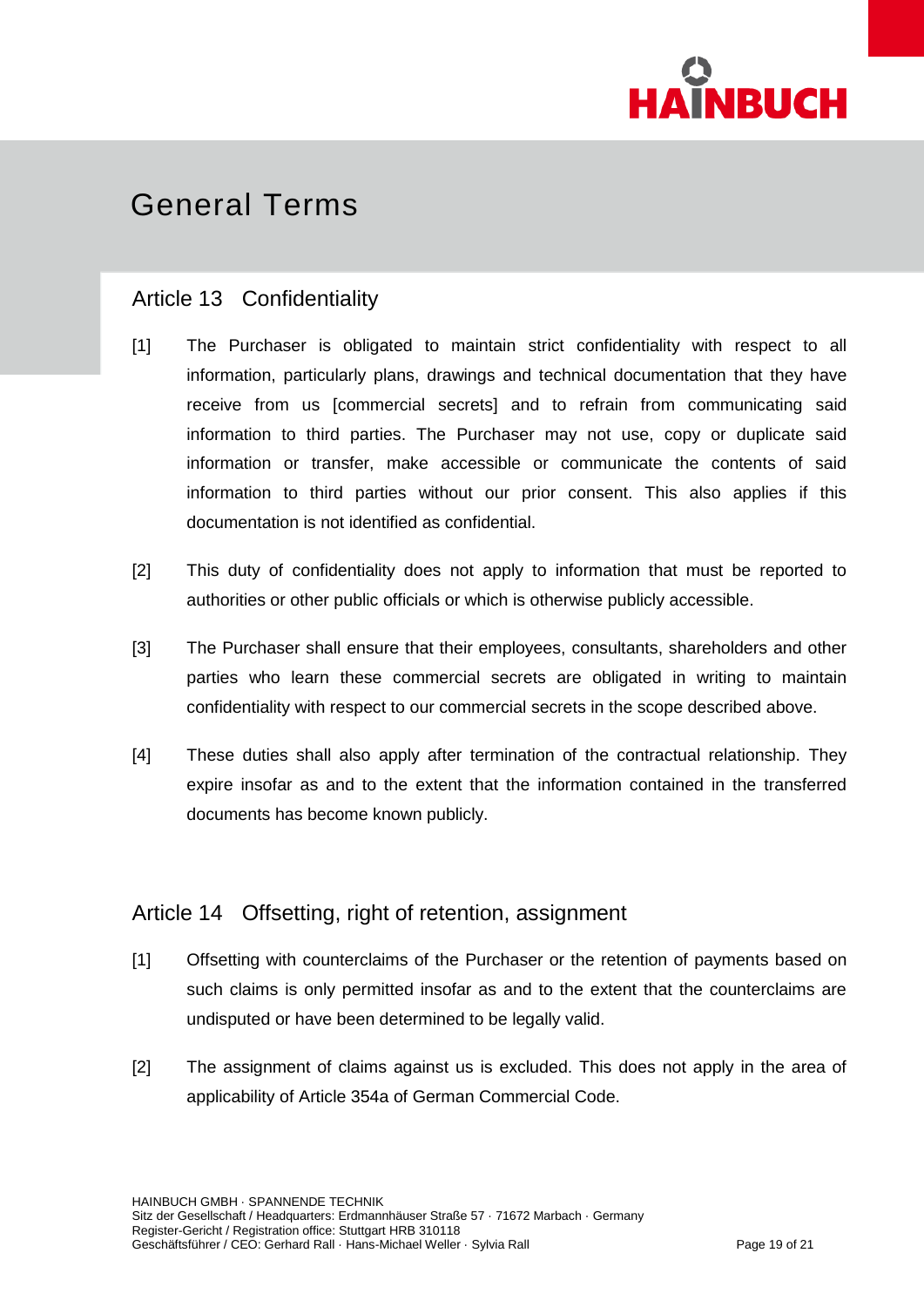

### Article 13 Confidentiality

- [1] The Purchaser is obligated to maintain strict confidentiality with respect to all information, particularly plans, drawings and technical documentation that they have receive from us [commercial secrets] and to refrain from communicating said information to third parties. The Purchaser may not use, copy or duplicate said information or transfer, make accessible or communicate the contents of said information to third parties without our prior consent. This also applies if this documentation is not identified as confidential.
- [2] This duty of confidentiality does not apply to information that must be reported to authorities or other public officials or which is otherwise publicly accessible.
- [3] The Purchaser shall ensure that their employees, consultants, shareholders and other parties who learn these commercial secrets are obligated in writing to maintain confidentiality with respect to our commercial secrets in the scope described above.
- [4] These duties shall also apply after termination of the contractual relationship. They expire insofar as and to the extent that the information contained in the transferred documents has become known publicly.

### Article 14 Offsetting, right of retention, assignment

- [1] Offsetting with counterclaims of the Purchaser or the retention of payments based on such claims is only permitted insofar as and to the extent that the counterclaims are undisputed or have been determined to be legally valid.
- [2] The assignment of claims against us is excluded. This does not apply in the area of applicability of Article 354a of German Commercial Code.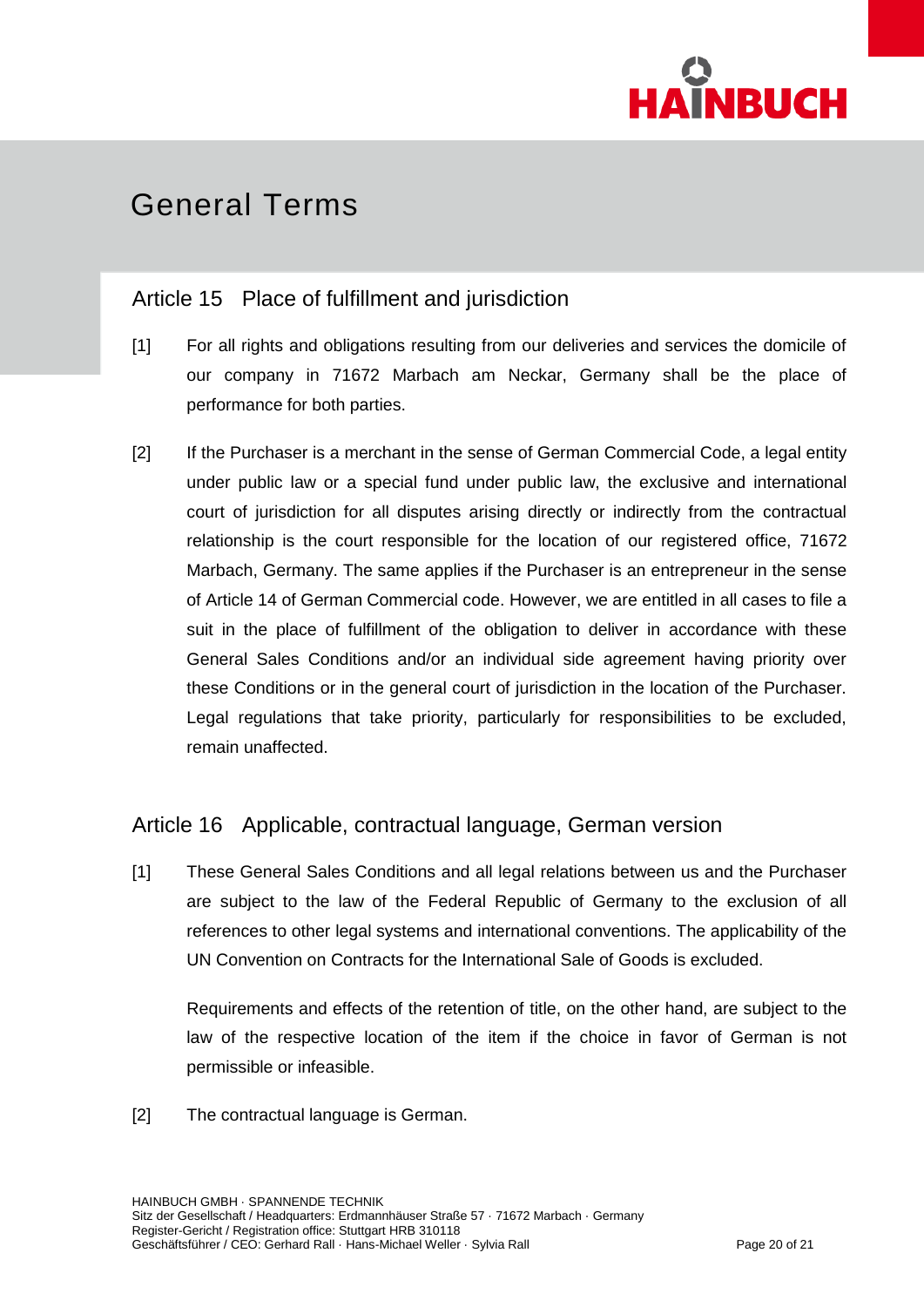

### Article 15 Place of fulfillment and jurisdiction

- [1] For all rights and obligations resulting from our deliveries and services the domicile of our company in 71672 Marbach am Neckar, Germany shall be the place of performance for both parties.
- [2] If the Purchaser is a merchant in the sense of German Commercial Code, a legal entity under public law or a special fund under public law, the exclusive and international court of jurisdiction for all disputes arising directly or indirectly from the contractual relationship is the court responsible for the location of our registered office, 71672 Marbach, Germany. The same applies if the Purchaser is an entrepreneur in the sense of Article 14 of German Commercial code. However, we are entitled in all cases to file a suit in the place of fulfillment of the obligation to deliver in accordance with these General Sales Conditions and/or an individual side agreement having priority over these Conditions or in the general court of jurisdiction in the location of the Purchaser. Legal regulations that take priority, particularly for responsibilities to be excluded, remain unaffected.

### Article 16 Applicable, contractual language, German version

[1] These General Sales Conditions and all legal relations between us and the Purchaser are subject to the law of the Federal Republic of Germany to the exclusion of all references to other legal systems and international conventions. The applicability of the UN Convention on Contracts for the International Sale of Goods is excluded.

Requirements and effects of the retention of title, on the other hand, are subject to the law of the respective location of the item if the choice in favor of German is not permissible or infeasible.

[2] The contractual language is German.